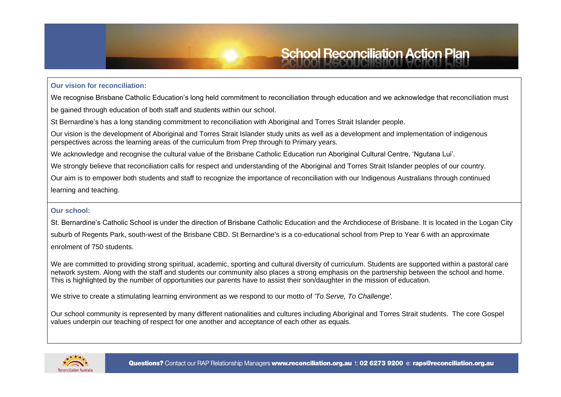# **School Reconciliation Action Plan**

#### **Our vision for reconciliation:**

We recognise Brisbane Catholic Education's long held commitment to reconciliation through education and we acknowledge that reconciliation must

be gained through education of both staff and students within our school.

St Bernardine's has a long standing commitment to reconciliation with Aboriginal and Torres Strait Islander people.

Our vision is the development of Aboriginal and Torres Strait Islander study units as well as a development and implementation of indigenous perspectives across the learning areas of the curriculum from Prep through to Primary years.

We acknowledge and recognise the cultural value of the Brisbane Catholic Education run Aboriginal Cultural Centre, 'Ngutana Lui'.

We strongly believe that reconciliation calls for respect and understanding of the Aboriginal and Torres Strait Islander peoples of our country.

Our aim is to empower both students and staff to recognize the importance of reconciliation with our Indigenous Australians through continued learning and teaching.

### **Our school:**

St. Bernardine's Catholic School is under the direction of Brisbane Catholic Education and the Archdiocese of Brisbane. It is located in the Logan City

suburb of Regents Park, south-west of the Brisbane CBD. St Bernardine's is a co-educational school from Prep to Year 6 with an approximate enrolment of 750 students.

We are committed to providing strong spiritual, academic, sporting and cultural diversity of curriculum. Students are supported within a pastoral care network system. Along with the staff and students our community also places a strong emphasis on the partnership between the school and home. This is highlighted by the number of opportunities our parents have to assist their son/daughter in the mission of education.

We strive to create a stimulating learning environment as we respond to our motto of *'To Serve, To Challenge'.* 

Our school community is represented by many different nationalities and cultures including Aboriginal and Torres Strait students. The core Gospel values underpin our teaching of respect for one another and acceptance of each other as equals.

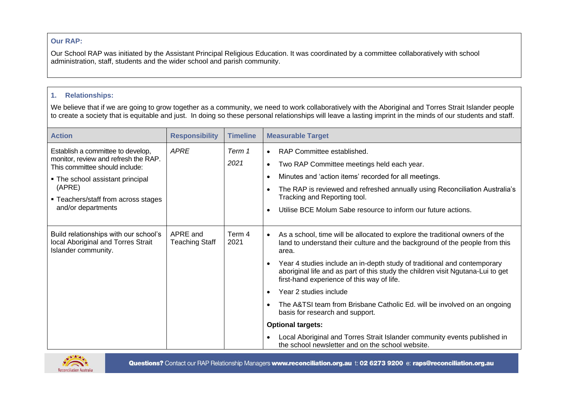## **Our RAP:**

Our School RAP was initiated by the Assistant Principal Religious Education. It was coordinated by a committee collaboratively with school administration, staff, students and the wider school and parish community.

## **1. Relationships:**

We believe that if we are going to grow together as a community, we need to work collaboratively with the Aboriginal and Torres Strait Islander people to create a society that is equitable and just. In doing so these personal relationships will leave a lasting imprint in the minds of our students and staff.

| <b>Action</b>                                                                                                                                                                                                          | <b>Responsibility</b>             | <b>Timeline</b> | <b>Measurable Target</b>                                                                                                                                                                                                                                                                                                                                                                                                                                                                                                                                                                                                                                                                             |
|------------------------------------------------------------------------------------------------------------------------------------------------------------------------------------------------------------------------|-----------------------------------|-----------------|------------------------------------------------------------------------------------------------------------------------------------------------------------------------------------------------------------------------------------------------------------------------------------------------------------------------------------------------------------------------------------------------------------------------------------------------------------------------------------------------------------------------------------------------------------------------------------------------------------------------------------------------------------------------------------------------------|
| Establish a committee to develop,<br>monitor, review and refresh the RAP.<br>This committee should include:<br>• The school assistant principal<br>(APRE)<br>• Teachers/staff from across stages<br>and/or departments | <b>APRE</b>                       | Term 1<br>2021  | RAP Committee established.<br>$\bullet$<br>Two RAP Committee meetings held each year.<br>$\bullet$<br>Minutes and 'action items' recorded for all meetings.<br>The RAP is reviewed and refreshed annually using Reconciliation Australia's<br>Tracking and Reporting tool.<br>Utilise BCE Molum Sabe resource to inform our future actions.                                                                                                                                                                                                                                                                                                                                                          |
| Build relationships with our school's<br>local Aboriginal and Torres Strait<br>Islander community.                                                                                                                     | APRE and<br><b>Teaching Staff</b> | Term 4<br>2021  | As a school, time will be allocated to explore the traditional owners of the<br>$\bullet$<br>land to understand their culture and the background of the people from this<br>area.<br>Year 4 studies include an in-depth study of traditional and contemporary<br>aboriginal life and as part of this study the children visit Ngutana-Lui to get<br>first-hand experience of this way of life.<br>Year 2 studies include<br>The A&TSI team from Brisbane Catholic Ed. will be involved on an ongoing<br>basis for research and support.<br><b>Optional targets:</b><br>Local Aboriginal and Torres Strait Islander community events published in<br>the school newsletter and on the school website. |

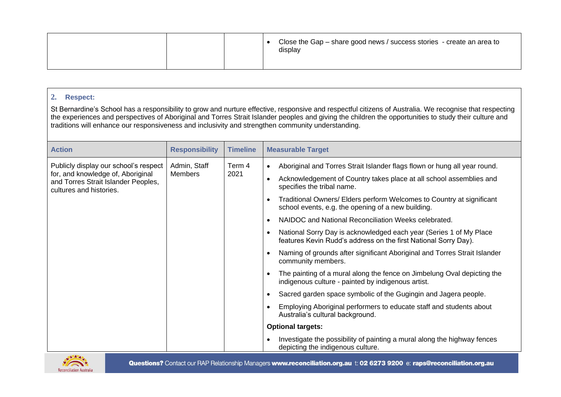|  | Close the Gap – share good news / success stories - create an area to<br>display |
|--|----------------------------------------------------------------------------------|
|  |                                                                                  |

### **2. Respect:**

St Bernardine's School has a responsibility to grow and nurture effective, responsive and respectful citizens of Australia. We recognise that respecting the experiences and perspectives of Aboriginal and Torres Strait Islander peoples and giving the children the opportunities to study their culture and traditions will enhance our responsiveness and inclusivity and strengthen community understanding.

| <b>Action</b>                                                                                                                                | <b>Responsibility</b>          | <b>Timeline</b> | <b>Measurable Target</b>                                                                                                                                                                                                                                                                                                                                                                                                                                                                                                                                                                                                                                                                                                                                                                                                                                                                                                                                                                                                                                                                                             |
|----------------------------------------------------------------------------------------------------------------------------------------------|--------------------------------|-----------------|----------------------------------------------------------------------------------------------------------------------------------------------------------------------------------------------------------------------------------------------------------------------------------------------------------------------------------------------------------------------------------------------------------------------------------------------------------------------------------------------------------------------------------------------------------------------------------------------------------------------------------------------------------------------------------------------------------------------------------------------------------------------------------------------------------------------------------------------------------------------------------------------------------------------------------------------------------------------------------------------------------------------------------------------------------------------------------------------------------------------|
| Publicly display our school's respect<br>for, and knowledge of, Aboriginal<br>and Torres Strait Islander Peoples,<br>cultures and histories. | Admin, Staff<br><b>Members</b> | Term 4<br>2021  | Aboriginal and Torres Strait Islander flags flown or hung all year round.<br>$\bullet$<br>Acknowledgement of Country takes place at all school assemblies and<br>specifies the tribal name.<br>Traditional Owners/ Elders perform Welcomes to Country at significant<br>$\bullet$<br>school events, e.g. the opening of a new building.<br>NAIDOC and National Reconciliation Weeks celebrated.<br>National Sorry Day is acknowledged each year (Series 1 of My Place<br>features Kevin Rudd's address on the first National Sorry Day).<br>Naming of grounds after significant Aboriginal and Torres Strait Islander<br>community members.<br>The painting of a mural along the fence on Jimbelung Oval depicting the<br>indigenous culture - painted by indigenous artist.<br>Sacred garden space symbolic of the Gugingin and Jagera people.<br>$\bullet$<br>Employing Aboriginal performers to educate staff and students about<br>Australia's cultural background.<br><b>Optional targets:</b><br>Investigate the possibility of painting a mural along the highway fences<br>depicting the indigenous culture. |



Questions? Contact our RAP Relationship Managers www.reconciliation.org.au t: 02 6273 9200 e: raps@reconciliation.org.au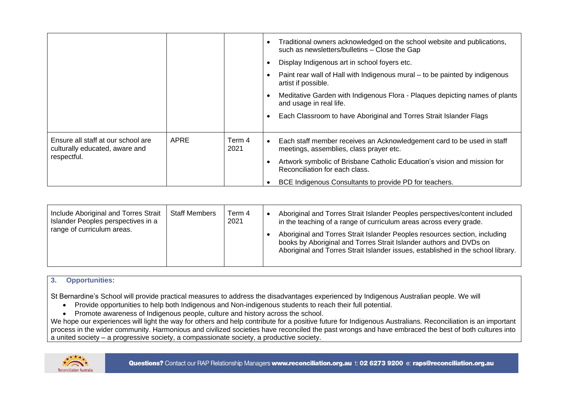|                                                                                     |      |                | Traditional owners acknowledged on the school website and publications,<br>such as newsletters/bulletins - Close the Gap<br>Display Indigenous art in school foyers etc.<br>Paint rear wall of Hall with Indigenous mural – to be painted by indigenous<br>artist if possible.<br>Meditative Garden with Indigenous Flora - Plaques depicting names of plants<br>and usage in real life.<br>Each Classroom to have Aboriginal and Torres Strait Islander Flags |
|-------------------------------------------------------------------------------------|------|----------------|----------------------------------------------------------------------------------------------------------------------------------------------------------------------------------------------------------------------------------------------------------------------------------------------------------------------------------------------------------------------------------------------------------------------------------------------------------------|
|                                                                                     |      |                |                                                                                                                                                                                                                                                                                                                                                                                                                                                                |
| Ensure all staff at our school are<br>culturally educated, aware and<br>respectful. | APRE | Term 4<br>2021 | Each staff member receives an Acknowledgement card to be used in staff<br>meetings, assemblies, class prayer etc.                                                                                                                                                                                                                                                                                                                                              |
|                                                                                     |      |                | Artwork symbolic of Brisbane Catholic Education's vision and mission for<br>Reconciliation for each class.                                                                                                                                                                                                                                                                                                                                                     |
|                                                                                     |      |                | BCE Indigenous Consultants to provide PD for teachers.                                                                                                                                                                                                                                                                                                                                                                                                         |

| Include Aboriginal and Torres Strait<br><b>Staff Members</b><br>Islander Peoples perspectives in a<br>range of curriculum areas. | Term 4<br>2021 |  | Aboriginal and Torres Strait Islander Peoples perspectives/content included<br>in the teaching of a range of curriculum areas across every grade.<br>Aboriginal and Torres Strait Islander Peoples resources section, including<br>books by Aboriginal and Torres Strait Islander authors and DVDs on<br>Aboriginal and Torres Strait Islander issues, established in the school library. |
|----------------------------------------------------------------------------------------------------------------------------------|----------------|--|-------------------------------------------------------------------------------------------------------------------------------------------------------------------------------------------------------------------------------------------------------------------------------------------------------------------------------------------------------------------------------------------|
|----------------------------------------------------------------------------------------------------------------------------------|----------------|--|-------------------------------------------------------------------------------------------------------------------------------------------------------------------------------------------------------------------------------------------------------------------------------------------------------------------------------------------------------------------------------------------|

## **3. Opportunities:**

St Bernardine's School will provide practical measures to address the disadvantages experienced by Indigenous Australian people. We will

- Provide opportunities to help both Indigenous and Non-indigenous students to reach their full potential.
- Promote awareness of Indigenous people, culture and history across the school.

We hope our experiences will light the way for others and help contribute for a positive future for Indigenous Australians*.* Reconciliation is an important process in the wider community. Harmonious and civilized societies have reconciled the past wrongs and have embraced the best of both cultures into a united society – a progressive society, a compassionate society, a productive society.